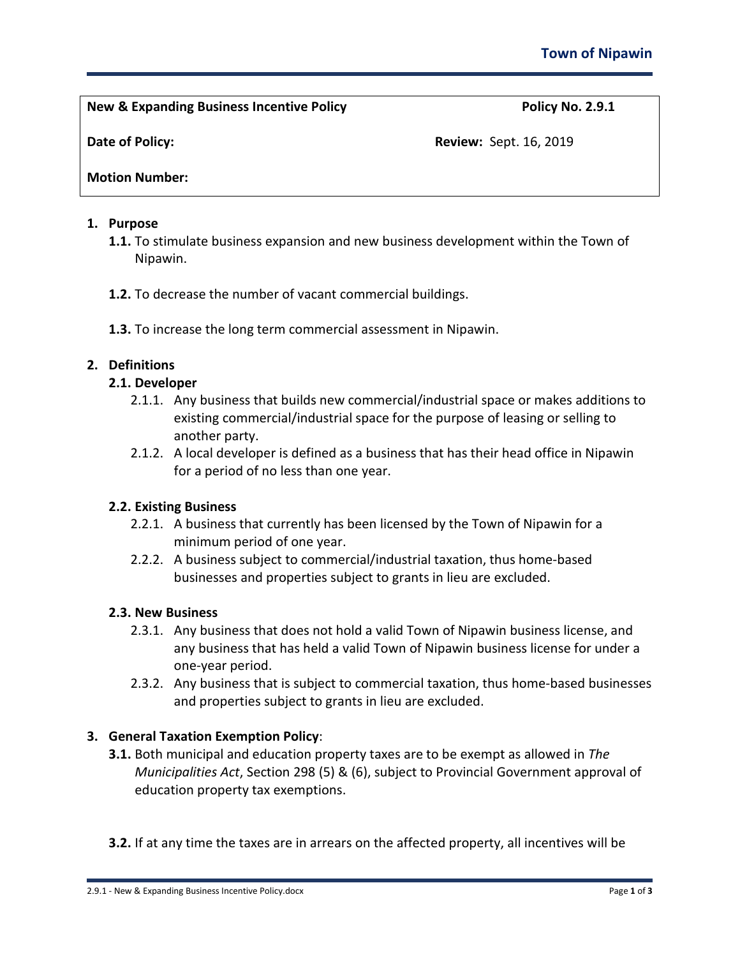**New & Expanding Business Incentive Policy Policy No. 2.9.1**

**Date of Policy: Review: Sept. 16, 2019 Review: Sept. 16, 2019** 

**Motion Number:** 

## **1. Purpose**

- **1.1.** To stimulate business expansion and new business development within the Town of Nipawin.
- **1.2.** To decrease the number of vacant commercial buildings.
- **1.3.** To increase the long term commercial assessment in Nipawin.

# **2. Definitions**

# **2.1. Developer**

- 2.1.1. Any business that builds new commercial/industrial space or makes additions to existing commercial/industrial space for the purpose of leasing or selling to another party.
- 2.1.2. A local developer is defined as a business that has their head office in Nipawin for a period of no less than one year.

## **2.2. Existing Business**

- 2.2.1. A business that currently has been licensed by the Town of Nipawin for a minimum period of one year.
- 2.2.2. A business subject to commercial/industrial taxation, thus home-based businesses and properties subject to grants in lieu are excluded.

## **2.3. New Business**

- 2.3.1. Any business that does not hold a valid Town of Nipawin business license, and any business that has held a valid Town of Nipawin business license for under a one-year period.
- 2.3.2. Any business that is subject to commercial taxation, thus home-based businesses and properties subject to grants in lieu are excluded.

# **3. General Taxation Exemption Policy**:

- **3.1.** Both municipal and education property taxes are to be exempt as allowed in *The Municipalities Act*, Section 298 (5) & (6), subject to Provincial Government approval of education property tax exemptions.
- **3.2.** If at any time the taxes are in arrears on the affected property, all incentives will be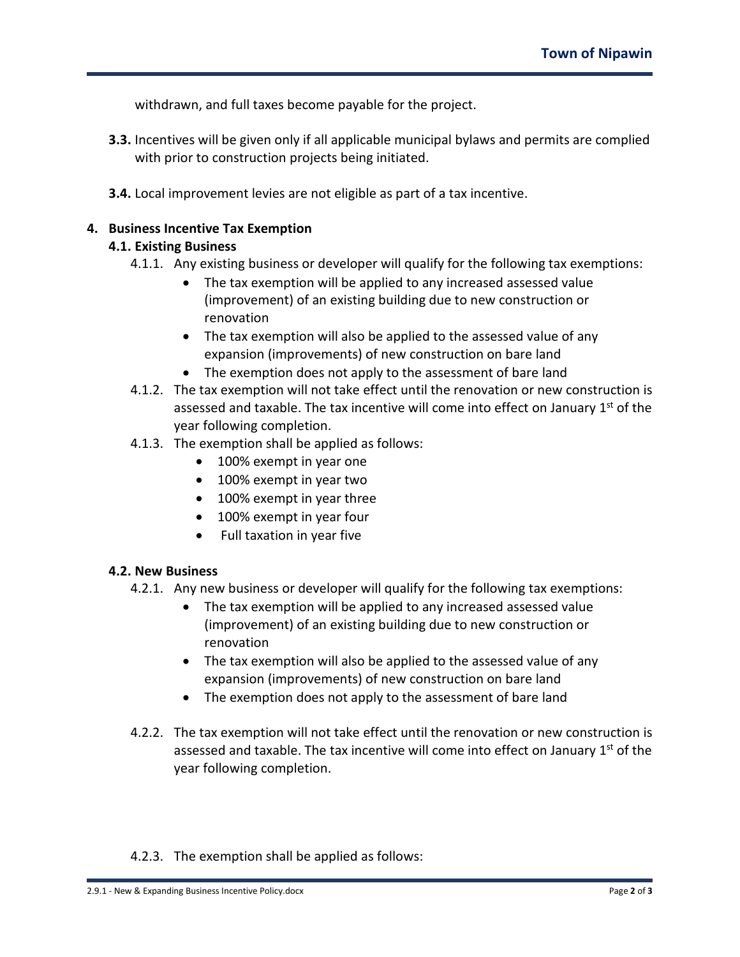withdrawn, and full taxes become payable for the project.

- **3.3.** Incentives will be given only if all applicable municipal bylaws and permits are complied with prior to construction projects being initiated.
- **3.4.** Local improvement levies are not eligible as part of a tax incentive.

### **4. Business Incentive Tax Exemption**

### **4.1. Existing Business**

- 4.1.1. Any existing business or developer will qualify for the following tax exemptions:
	- The tax exemption will be applied to any increased assessed value (improvement) of an existing building due to new construction or renovation
	- The tax exemption will also be applied to the assessed value of any expansion (improvements) of new construction on bare land
	- The exemption does not apply to the assessment of bare land
- 4.1.2. The tax exemption will not take effect until the renovation or new construction is assessed and taxable. The tax incentive will come into effect on January  $1<sup>st</sup>$  of the year following completion.
- 4.1.3. The exemption shall be applied as follows:
	- 100% exempt in year one
	- 100% exempt in year two
	- 100% exempt in year three
	- 100% exempt in year four
	- Full taxation in year five

#### **4.2. New Business**

- 4.2.1. Any new business or developer will qualify for the following tax exemptions:
	- The tax exemption will be applied to any increased assessed value (improvement) of an existing building due to new construction or renovation
	- The tax exemption will also be applied to the assessed value of any expansion (improvements) of new construction on bare land
	- The exemption does not apply to the assessment of bare land
- 4.2.2. The tax exemption will not take effect until the renovation or new construction is assessed and taxable. The tax incentive will come into effect on January 1<sup>st</sup> of the year following completion.

#### 4.2.3. The exemption shall be applied as follows: